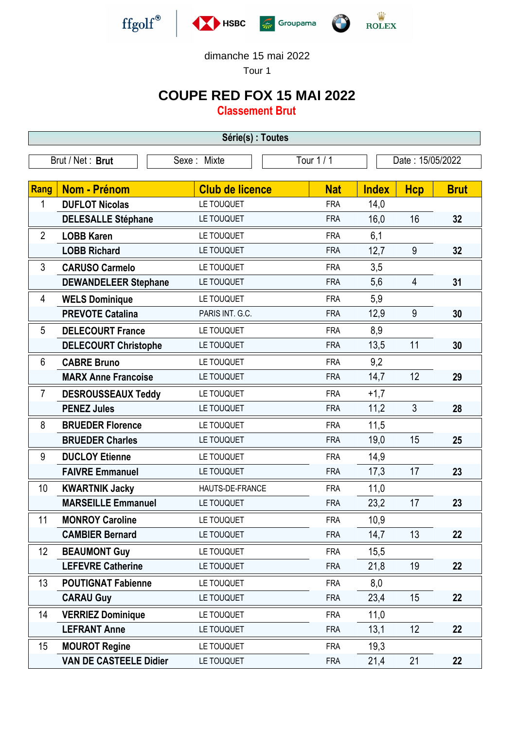

dimanche 15 mai 2022

Tour 1

## **COUPE RED FOX 15 MAI 2022**

**Classement Brut**

| Série(s) : Toutes                                                 |                               |                        |            |              |                |             |
|-------------------------------------------------------------------|-------------------------------|------------------------|------------|--------------|----------------|-------------|
| Brut / Net: Brut<br>Tour 1 / 1<br>Sexe: Mixte<br>Date: 15/05/2022 |                               |                        |            |              |                |             |
|                                                                   |                               |                        |            |              |                |             |
| Rang                                                              | <b>Nom - Prénom</b>           | <b>Club de licence</b> | <b>Nat</b> | <b>Index</b> | <b>Hcp</b>     | <b>Brut</b> |
| 1                                                                 | <b>DUFLOT Nicolas</b>         | LE TOUQUET             | <b>FRA</b> | 14,0         |                |             |
|                                                                   | <b>DELESALLE Stéphane</b>     | LE TOUQUET             | <b>FRA</b> | 16,0         | 16             | 32          |
| $\overline{2}$                                                    | <b>LOBB Karen</b>             | LE TOUQUET             | <b>FRA</b> | 6,1          |                |             |
|                                                                   | <b>LOBB Richard</b>           | LE TOUQUET             | <b>FRA</b> | 12,7         | 9              | 32          |
| 3                                                                 | <b>CARUSO Carmelo</b>         | LE TOUQUET             | <b>FRA</b> | 3,5          |                |             |
|                                                                   | <b>DEWANDELEER Stephane</b>   | LE TOUQUET             | <b>FRA</b> | 5,6          | 4              | 31          |
| 4                                                                 | <b>WELS Dominique</b>         | LE TOUQUET             | <b>FRA</b> | 5,9          |                |             |
|                                                                   | <b>PREVOTE Catalina</b>       | PARIS INT. G.C.        | <b>FRA</b> | 12,9         | 9              | 30          |
| 5                                                                 | <b>DELECOURT France</b>       | LE TOUQUET             | <b>FRA</b> | 8,9          |                |             |
|                                                                   | <b>DELECOURT Christophe</b>   | LE TOUQUET             | <b>FRA</b> | 13,5         | 11             | 30          |
| 6                                                                 | <b>CABRE Bruno</b>            | LE TOUQUET             | <b>FRA</b> | 9,2          |                |             |
|                                                                   | <b>MARX Anne Francoise</b>    | LE TOUQUET             | <b>FRA</b> | 14,7         | 12             | 29          |
| $\overline{7}$                                                    | <b>DESROUSSEAUX Teddy</b>     | LE TOUQUET             | <b>FRA</b> | $+1,7$       |                |             |
|                                                                   | <b>PENEZ Jules</b>            | LE TOUQUET             | <b>FRA</b> | 11,2         | $\mathfrak{Z}$ | 28          |
| 8                                                                 | <b>BRUEDER Florence</b>       | LE TOUQUET             | <b>FRA</b> | 11,5         |                |             |
|                                                                   | <b>BRUEDER Charles</b>        | LE TOUQUET             | <b>FRA</b> | 19,0         | 15             | 25          |
| 9                                                                 | <b>DUCLOY Etienne</b>         | LE TOUQUET             | <b>FRA</b> | 14,9         |                |             |
|                                                                   | <b>FAIVRE Emmanuel</b>        | LE TOUQUET             | <b>FRA</b> | 17,3         | 17             | 23          |
| 10                                                                | <b>KWARTNIK Jacky</b>         | HAUTS-DE-FRANCE        | <b>FRA</b> | 11,0         |                |             |
|                                                                   | <b>MARSEILLE Emmanuel</b>     | LE TOUQUET             | <b>FRA</b> | 23,2         | 17             | 23          |
| 11                                                                | <b>MONROY Caroline</b>        | LE TOUQUET             | <b>FRA</b> | 10,9         |                |             |
|                                                                   | <b>CAMBIER Bernard</b>        | LE TOUQUET             | <b>FRA</b> | 14,7         | 13             | 22          |
| 12                                                                | <b>BEAUMONT Guy</b>           | LE TOUQUET             | <b>FRA</b> | 15,5         |                |             |
|                                                                   | <b>LEFEVRE Catherine</b>      | LE TOUQUET             | <b>FRA</b> | 21,8         | 19             | 22          |
| 13                                                                | <b>POUTIGNAT Fabienne</b>     | LE TOUQUET             | <b>FRA</b> | 8,0          |                |             |
|                                                                   | <b>CARAU Guy</b>              | LE TOUQUET             | <b>FRA</b> | 23,4         | 15             | 22          |
| 14                                                                | <b>VERRIEZ Dominique</b>      | LE TOUQUET             | <b>FRA</b> | 11,0         |                |             |
|                                                                   | <b>LEFRANT Anne</b>           | LE TOUQUET             | <b>FRA</b> | 13,1         | 12             | 22          |
| 15                                                                | <b>MOUROT Regine</b>          | LE TOUQUET             | <b>FRA</b> | 19,3         |                |             |
|                                                                   | <b>VAN DE CASTEELE Didier</b> | LE TOUQUET             | <b>FRA</b> | 21,4         | 21             | 22          |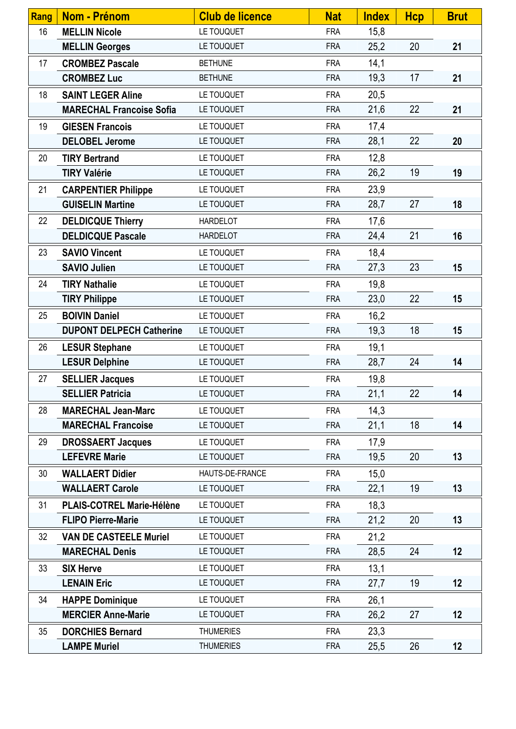| Rang | <b>Nom - Prénom</b>              | <b>Club de licence</b> | <b>Nat</b> | <b>Index</b> | <b>Hcp</b> | <b>Brut</b> |
|------|----------------------------------|------------------------|------------|--------------|------------|-------------|
| 16   | <b>MELLIN Nicole</b>             | LE TOUQUET             | <b>FRA</b> | 15,8         |            |             |
|      | <b>MELLIN Georges</b>            | LE TOUQUET             | <b>FRA</b> | 25,2         | 20         | 21          |
| 17   | <b>CROMBEZ Pascale</b>           | <b>BETHUNE</b>         | <b>FRA</b> | 14,1         |            |             |
|      | <b>CROMBEZ Luc</b>               | <b>BETHUNE</b>         | <b>FRA</b> | 19,3         | 17         | 21          |
| 18   | <b>SAINT LEGER Aline</b>         | LE TOUQUET             | <b>FRA</b> | 20,5         |            |             |
|      | <b>MARECHAL Francoise Sofia</b>  | LE TOUQUET             | <b>FRA</b> | 21,6         | 22         | 21          |
| 19   | <b>GIESEN Francois</b>           | LE TOUQUET             | <b>FRA</b> | 17,4         |            |             |
|      | <b>DELOBEL Jerome</b>            | LE TOUQUET             | <b>FRA</b> | 28,1         | 22         | 20          |
| 20   | <b>TIRY Bertrand</b>             | LE TOUQUET             | <b>FRA</b> | 12,8         |            |             |
|      | <b>TIRY Valérie</b>              | LE TOUQUET             | <b>FRA</b> | 26,2         | 19         | 19          |
| 21   | <b>CARPENTIER Philippe</b>       | LE TOUQUET             | <b>FRA</b> | 23,9         |            |             |
|      | <b>GUISELIN Martine</b>          | LE TOUQUET             | <b>FRA</b> | 28,7         | 27         | 18          |
| 22   | <b>DELDICQUE Thierry</b>         | <b>HARDELOT</b>        | <b>FRA</b> | 17,6         |            |             |
|      | <b>DELDICQUE Pascale</b>         | <b>HARDELOT</b>        | <b>FRA</b> | 24,4         | 21         | 16          |
| 23   | <b>SAVIO Vincent</b>             | LE TOUQUET             | <b>FRA</b> | 18,4         |            |             |
|      | <b>SAVIO Julien</b>              | LE TOUQUET             | <b>FRA</b> | 27,3         | 23         | 15          |
| 24   | <b>TIRY Nathalie</b>             | LE TOUQUET             | <b>FRA</b> | 19,8         |            |             |
|      | <b>TIRY Philippe</b>             | LE TOUQUET             | <b>FRA</b> | 23,0         | 22         | 15          |
| 25   | <b>BOIVIN Daniel</b>             | LE TOUQUET             | <b>FRA</b> | 16,2         |            |             |
|      | <b>DUPONT DELPECH Catherine</b>  | LE TOUQUET             | <b>FRA</b> | 19,3         | 18         | 15          |
| 26   | <b>LESUR Stephane</b>            | LE TOUQUET             | <b>FRA</b> | 19,1         |            |             |
|      | <b>LESUR Delphine</b>            | LE TOUQUET             | <b>FRA</b> | 28,7         | 24         | 14          |
| 27   | <b>SELLIER Jacques</b>           | LE TOUQUET             | <b>FRA</b> | 19,8         |            |             |
|      | <b>SELLIER Patricia</b>          | LE TOUQUET             | <b>FRA</b> | 21,1         | 22         | 14          |
| 28   | <b>MARECHAL Jean-Marc</b>        | LE TOUQUET             | <b>FRA</b> | 14,3         |            |             |
|      | <b>MARECHAL Francoise</b>        | LE TOUQUET             | <b>FRA</b> | 21,1         | 18         | 14          |
| 29   | <b>DROSSAERT Jacques</b>         | LE TOUQUET             | <b>FRA</b> | 17,9         |            |             |
|      | <b>LEFEVRE Marie</b>             | LE TOUQUET             | <b>FRA</b> | 19,5         | 20         | 13          |
| 30   | <b>WALLAERT Didier</b>           | HAUTS-DE-FRANCE        | <b>FRA</b> | 15,0         |            |             |
|      | <b>WALLAERT Carole</b>           | LE TOUQUET             | <b>FRA</b> | 22,1         | 19         | 13          |
| 31   | <b>PLAIS-COTREL Marie-Hélène</b> | LE TOUQUET             | <b>FRA</b> | 18,3         |            |             |
|      | <b>FLIPO Pierre-Marie</b>        | LE TOUQUET             | <b>FRA</b> | 21,2         | 20         | 13          |
| 32   | <b>VAN DE CASTEELE Muriel</b>    | LE TOUQUET             | <b>FRA</b> | 21,2         |            |             |
|      | <b>MARECHAL Denis</b>            | LE TOUQUET             | <b>FRA</b> | 28,5         | 24         | 12          |
| 33   | <b>SIX Herve</b>                 | LE TOUQUET             | <b>FRA</b> | 13,1         |            |             |
|      | <b>LENAIN Eric</b>               | LE TOUQUET             | <b>FRA</b> | 27,7         | 19         | 12          |
| 34   | <b>HAPPE Dominique</b>           | LE TOUQUET             | <b>FRA</b> | 26,1         |            |             |
|      | <b>MERCIER Anne-Marie</b>        | LE TOUQUET             | <b>FRA</b> | 26,2         | 27         | 12          |
| 35   | <b>DORCHIES Bernard</b>          | <b>THUMERIES</b>       | <b>FRA</b> | 23,3         |            |             |
|      | <b>LAMPE Muriel</b>              | <b>THUMERIES</b>       | <b>FRA</b> | 25,5         | 26         | 12          |